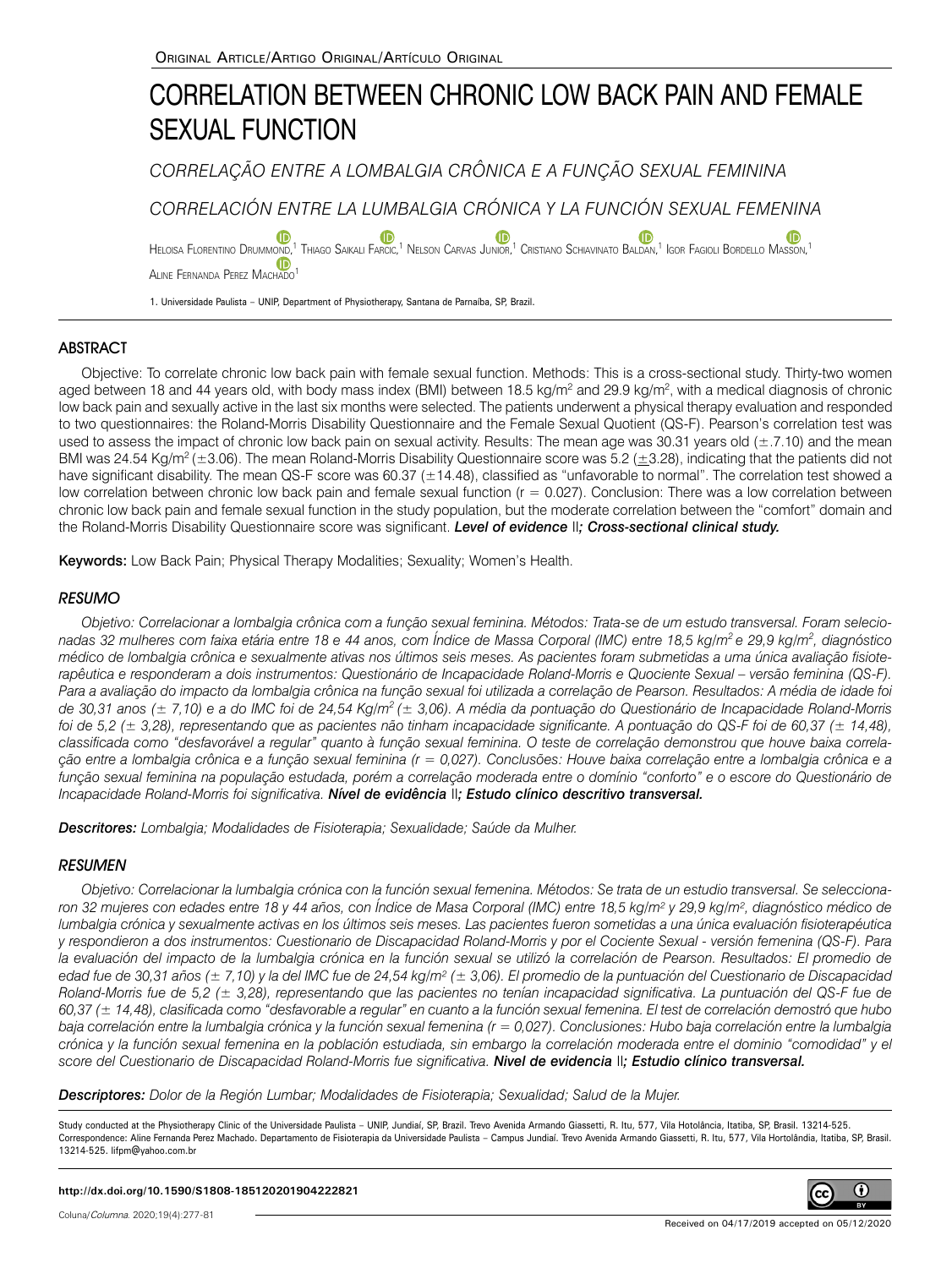# CORRELATION BETWEEN CHRONIC LOW BACK PAIN AND FEMALE SEXUAL FUNCTION

*CORRELAÇÃO ENTRE A LOMBALGIA CRÔNICA E A FUNÇÃO SEXUAL FEMININA*

*CORRELACIÓN ENTRE LA LUMBALGIA CRÓNICA Y LA FUNCIÓN SEXUAL FEMENINA*

(ID Heloisa Florentino Drummond[,](https://orcid.org/0000-0003-2807-3642)<sup>1</sup> Thiago Saikali Farcic,<sup>1</sup> Nelson Carvas Junior,<sup>1</sup> Cristiano Schiavinato Baldan,<sup>1</sup> Igor Fagioli Bordello Masson,<sup>1</sup> ALINE FERNANDA PEREZ MACHADO

1. Universidade Paulista – UNIP, Department of Physiotherapy, Santana de Parnaíba, SP, Brazil.

# **ABSTRACT**

Objective: To correlate chronic low back pain with female sexual function. Methods: This is a cross-sectional study. Thirty-two women aged between 18 and 44 years old, with body mass index (BMI) between 18.5 kg/m<sup>2</sup> and 29.9 kg/m<sup>2</sup>, with a medical diagnosis of chronic low back pain and sexually active in the last six months were selected. The patients underwent a physical therapy evaluation and responded to two questionnaires: the Roland-Morris Disability Questionnaire and the Female Sexual Quotient (QS-F). Pearson's correlation test was used to assess the impact of chronic low back pain on sexual activity. Results: The mean age was 30.31 years old (±.7.10) and the mean BMI was 24.54 Kg/m<sup>2</sup> (±3.06). The mean Roland-Morris Disability Questionnaire score was 5.2 (±3.28), indicating that the patients did not have significant disability. The mean QS-F score was 60.37 (±14.48), classified as "unfavorable to normal". The correlation test showed a low correlation between chronic low back pain and female sexual function (r = 0.027). Conclusion: There was a low correlation between chronic low back pain and female sexual function in the study population, but the moderate correlation between the "comfort" domain and the Roland-Morris Disability Questionnaire score was significant. *Level of evidence* II*; Cross-sectional clinical study.*

Keywords: Low Back Pain; Physical Therapy Modalities; Sexuality; Women's Health.

# **RESUMO**

*Objetivo: Correlacionar a lombalgia crônica com a função sexual feminina. Métodos: Trata-se de um estudo transversal. Foram selecionadas 32 mulheres com faixa etária entre 18 e 44 anos, com Índice de Massa Corporal (IMC) entre 18,5 kg/m2 e 29,9 kg/m2 , diagnóstico médico de lombalgia crônica e sexualmente ativas nos últimos seis meses. As pacientes foram submetidas a uma única avaliação fisioterapêutica e responderam a dois instrumentos: Questionário de Incapacidade Roland-Morris e Quociente Sexual – versão feminina (QS-F). Para a avaliação do impacto da lombalgia crônica na função sexual foi utilizada a correlação de Pearson. Resultados: A média de idade foi de 30,31 anos (± 7,10) e a do IMC foi de 24,54 Kg/m2 (± 3,06). A média da pontuação do Questionário de Incapacidade Roland-Morris foi de 5,2 (± 3,28), representando que as pacientes não tinham incapacidade significante. A pontuação do QS-F foi de 60,37 (± 14,48), classificada como "desfavorável a regular" quanto à função sexual feminina. O teste de correlação demonstrou que houve baixa correlação entre a lombalgia crônica e a função sexual feminina (r = 0,027). Conclusões: Houve baixa correlação entre a lombalgia crônica e a função sexual feminina na população estudada, porém a correlação moderada entre o domínio "conforto" e o escore do Questionário de Incapacidade Roland-Morris foi significativa. Nível de evidência* II*; Estudo clínico descritivo transversal.*

*Descritores: Lombalgia; Modalidades de Fisioterapia; Sexualidade; Saúde da Mulher.*

## RESUMEN

*Objetivo: Correlacionar la lumbalgia crónica con la función sexual femenina. Métodos: Se trata de un estudio transversal. Se seleccionaron 32 mujeres con edades entre 18 y 44 años, con Índice de Masa Corporal (IMC) entre 18,5 kg/m² y 29,9 kg/m², diagnóstico médico de lumbalgia crónica y sexualmente activas en los últimos seis meses. Las pacientes fueron sometidas a una única evaluación fisioterapéutica y respondieron a dos instrumentos: Cuestionario de Discapacidad Roland-Morris y por el Cociente Sexual - versión femenina (QS-F). Para*  la evaluación del impacto de la lumbalgia crónica en la función sexual se utilizó la correlación de Pearson. Resultados: El promedio de *edad fue de 30,31 años (± 7,10) y la del IMC fue de 24,54 kg/m² (± 3,06). El promedio de la puntuación del Cuestionario de Discapacidad Roland-Morris fue de 5,2 (± 3,28), representando que las pacientes no tenían incapacidad significativa. La puntuación del QS-F fue de 60,37 (± 14,48), clasificada como "desfavorable a regular" en cuanto a la función sexual femenina. El test de correlación demostró que hubo baja correlación entre la lumbalgia crónica y la función sexual femenina (r = 0,027). Conclusiones: Hubo baja correlación entre la lumbalgia crónica y la función sexual femenina en la población estudiada, sin embargo la correlación moderada entre el dominio "comodidad" y el score del Cuestionario de Discapacidad Roland-Morris fue significativa. Nivel de evidencia* II*; Estudio clínico transversal.* 

*Descriptores: Dolor de la Región Lumbar; Modalidades de Fisioterapia; Sexualidad; Salud de la Mujer.*

Study conducted at the Physiotherapy Clinic of the Universidade Paulista – UNIP, Jundiaí, SP, Brazil, Trevo Avenida Armando Giassetti, R. Itu, 577, Vila Hotolância, Itatiba, SP, Brasil, 13214-525. Correspondence: Aline Fernanda Perez Machado. Departamento de Fisioterapia da Universidade Paulista – Campus Jundiaí. Trevo Avenida Armando Giassetti, R. Itu, 577, Vila Hortolândia, Itatiba, SP, Brasil. 13214-525. lifpm@yahoo.com.br



**http://dx.doi.org/10.1590/S1808-185120201904222821**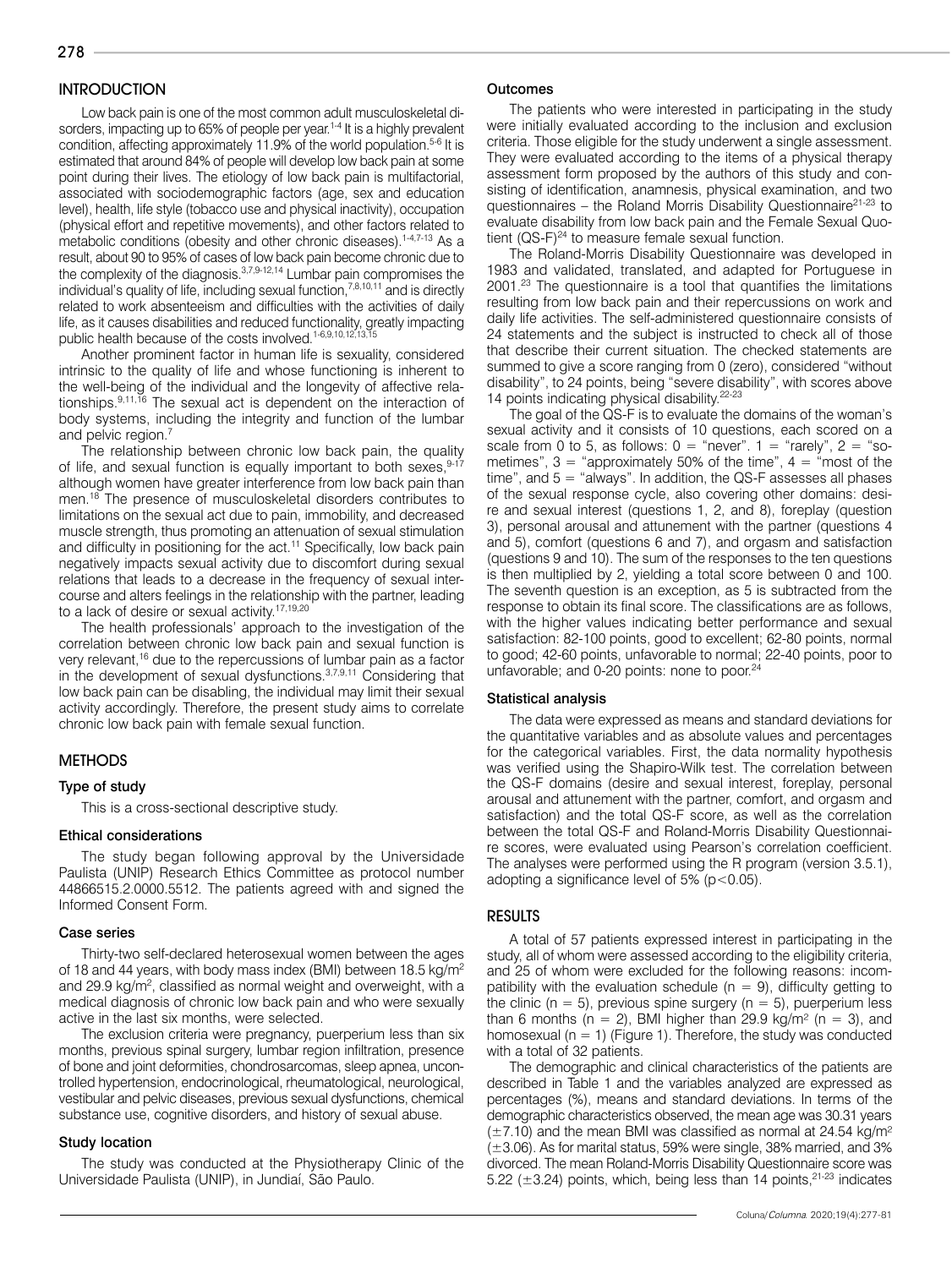# **INTRODUCTION**

Low back pain is one of the most common adult musculoskeletal disorders, impacting up to 65% of people per year.<sup>1-4</sup> It is a highly prevalent condition, affecting approximately 11.9% of the world population.<sup>5-6</sup> It is estimated that around 84% of people will develop low back pain at some point during their lives. The etiology of low back pain is multifactorial, associated with sociodemographic factors (age, sex and education level), health, life style (tobacco use and physical inactivity), occupation (physical effort and repetitive movements), and other factors related to metabolic conditions (obesity and other chronic diseases).<sup>1-4,7-13</sup> As a result, about 90 to 95% of cases of low back pain become chronic due to the complexity of the diagnosis.3,7,9-12,14 Lumbar pain compromises the individual's quality of life, including sexual function,7,8,10,11 and is directly related to work absenteeism and difficulties with the activities of daily life, as it causes disabilities and reduced functionality, greatly impacting public health because of the costs involved.<sup>1-6,9,10,12,13,1</sup>

Another prominent factor in human life is sexuality, considered intrinsic to the quality of life and whose functioning is inherent to the well-being of the individual and the longevity of affective relationships.<sup>9,11,16</sup> The sexual act is dependent on the interaction of body systems, including the integrity and function of the lumbar and pelvic region.<sup>7</sup>

The relationship between chronic low back pain, the quality of life, and sexual function is equally important to both sexes, 9-17 although women have greater interference from low back pain than men.<sup>18</sup> The presence of musculoskeletal disorders contributes to limitations on the sexual act due to pain, immobility, and decreased muscle strength, thus promoting an attenuation of sexual stimulation and difficulty in positioning for the act.<sup>11</sup> Specifically, low back pain negatively impacts sexual activity due to discomfort during sexual relations that leads to a decrease in the frequency of sexual intercourse and alters feelings in the relationship with the partner, leading to a lack of desire or sexual activity.<sup>17,19,20</sup>

The health professionals' approach to the investigation of the correlation between chronic low back pain and sexual function is very relevant,<sup>16</sup> due to the repercussions of lumbar pain as a factor in the development of sexual dysfunctions.3,7,9,11 Considering that low back pain can be disabling, the individual may limit their sexual activity accordingly. Therefore, the present study aims to correlate chronic low back pain with female sexual function.

### **METHODS**

#### Type of study

This is a cross-sectional descriptive study.

#### Ethical considerations

The study began following approval by the Universidade Paulista (UNIP) Research Ethics Committee as protocol number 44866515.2.0000.5512. The patients agreed with and signed the Informed Consent Form.

#### Case series

Thirty-two self-declared heterosexual women between the ages of 18 and 44 years, with body mass index (BMI) between 18.5 kg/m2 and 29.9 kg/m<sup>2</sup>, classified as normal weight and overweight, with a medical diagnosis of chronic low back pain and who were sexually active in the last six months, were selected.

The exclusion criteria were pregnancy, puerperium less than six months, previous spinal surgery, lumbar region infiltration, presence of bone and joint deformities, chondrosarcomas, sleep apnea, uncontrolled hypertension, endocrinological, rheumatological, neurological, vestibular and pelvic diseases, previous sexual dysfunctions, chemical substance use, cognitive disorders, and history of sexual abuse.

#### Study location

The study was conducted at the Physiotherapy Clinic of the Universidade Paulista (UNIP), in Jundiaí, São Paulo.

#### **Outcomes**

The patients who were interested in participating in the study were initially evaluated according to the inclusion and exclusion criteria. Those eligible for the study underwent a single assessment. They were evaluated according to the items of a physical therapy assessment form proposed by the authors of this study and consisting of identification, anamnesis, physical examination, and two questionnaires - the Roland Morris Disability Questionnaire<sup>21-23</sup> to evaluate disability from low back pain and the Female Sexual Quotient  $(QS-F)^{24}$  to measure female sexual function.

The Roland-Morris Disability Questionnaire was developed in 1983 and validated, translated, and adapted for Portuguese in 2001.23 The questionnaire is a tool that quantifies the limitations resulting from low back pain and their repercussions on work and daily life activities. The self-administered questionnaire consists of 24 statements and the subject is instructed to check all of those that describe their current situation. The checked statements are summed to give a score ranging from 0 (zero), considered "without disability", to 24 points, being "severe disability", with scores above 14 points indicating physical disability.22-23

The goal of the QS-F is to evaluate the domains of the woman's sexual activity and it consists of 10 questions, each scored on a scale from 0 to 5, as follows:  $0 =$  "never".  $1 =$  "rarely",  $2 =$  "sometimes",  $3 =$  "approximately 50% of the time",  $4 =$  "most of the time", and 5 = "always". In addition, the QS-F assesses all phases of the sexual response cycle, also covering other domains: desire and sexual interest (questions 1, 2, and 8), foreplay (question 3), personal arousal and attunement with the partner (questions 4 and 5), comfort (questions 6 and 7), and orgasm and satisfaction (questions 9 and 10). The sum of the responses to the ten questions is then multiplied by 2, yielding a total score between 0 and 100. The seventh question is an exception, as 5 is subtracted from the response to obtain its final score. The classifications are as follows, with the higher values indicating better performance and sexual satisfaction: 82-100 points, good to excellent; 62-80 points, normal to good; 42-60 points, unfavorable to normal; 22-40 points, poor to unfavorable; and 0-20 points: none to poor.<sup>24</sup>

#### Statistical analysis

The data were expressed as means and standard deviations for the quantitative variables and as absolute values and percentages for the categorical variables. First, the data normality hypothesis was verified using the Shapiro-Wilk test. The correlation between the QS-F domains (desire and sexual interest, foreplay, personal arousal and attunement with the partner, comfort, and orgasm and satisfaction) and the total QS-F score, as well as the correlation between the total QS-F and Roland-Morris Disability Questionnaire scores, were evaluated using Pearson's correlation coefficient. The analyses were performed using the R program (version 3.5.1), adopting a significance level of  $5\%$  ( $p < 0.05$ ).

#### RESULTS

A total of 57 patients expressed interest in participating in the study, all of whom were assessed according to the eligibility criteria, and 25 of whom were excluded for the following reasons: incompatibility with the evaluation schedule ( $n = 9$ ), difficulty getting to the clinic ( $n = 5$ ), previous spine surgery ( $n = 5$ ), puerperium less than 6 months ( $n = 2$ ), BMI higher than 29.9 kg/m<sup>2</sup> ( $n = 3$ ), and homosexual ( $n = 1$ ) (Figure 1). Therefore, the study was conducted with a total of 32 patients.

The demographic and clinical characteristics of the patients are described in Table 1 and the variables analyzed are expressed as percentages (%), means and standard deviations. In terms of the demographic characteristics observed, the mean age was 30.31 years  $(\pm 7.10)$  and the mean BMI was classified as normal at 24.54 kg/m<sup>2</sup>  $(\pm 3.06)$ . As for marital status, 59% were single, 38% married, and 3% divorced. The mean Roland-Morris Disability Questionnaire score was 5.22 ( $\pm$ 3.24) points, which, being less than 14 points,  $21-23$  indicates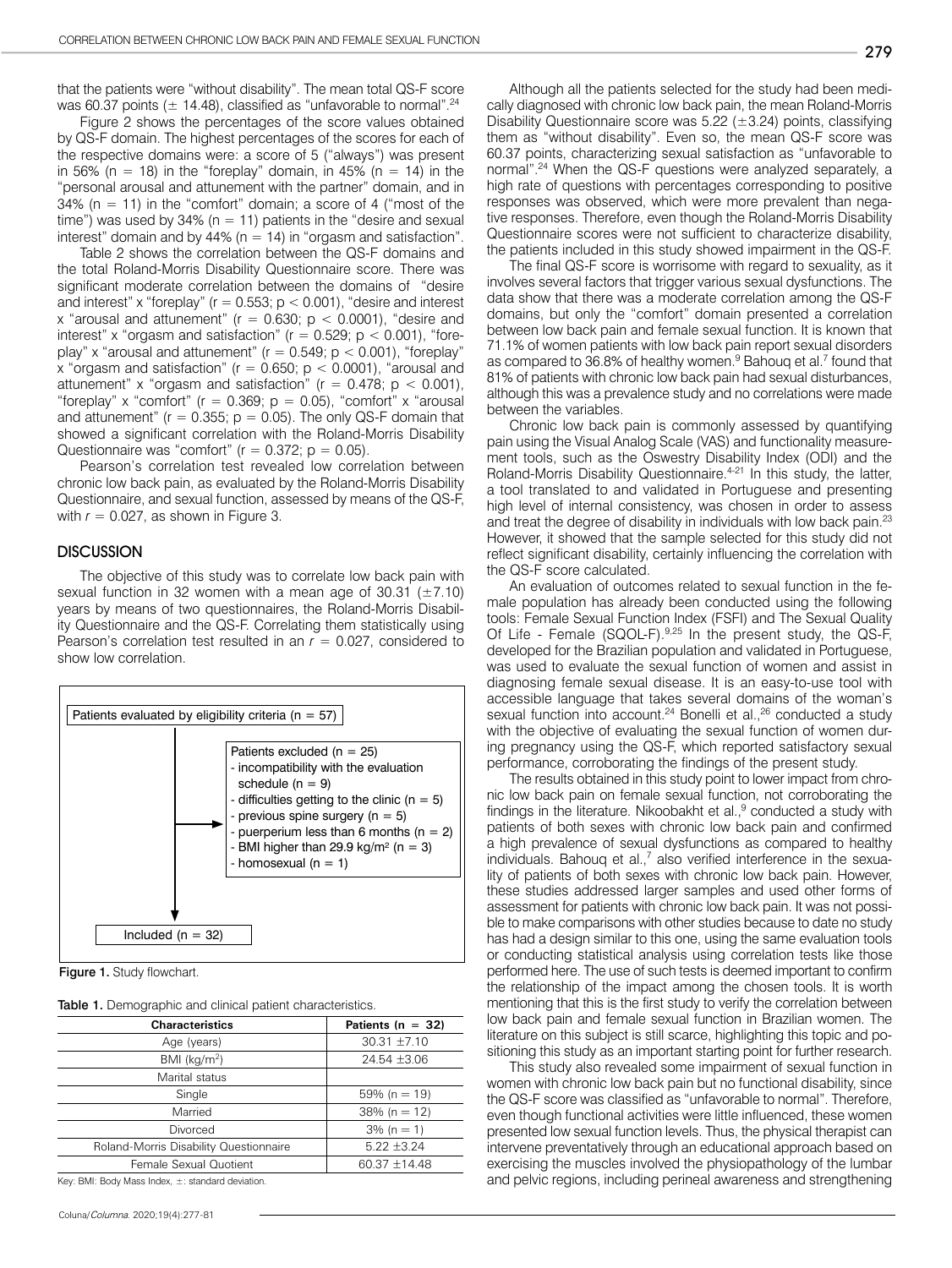that the patients were "without disability". The mean total QS-F score was 60.37 points ( $\pm$  14.48), classified as "unfavorable to normal".<sup>24</sup>

Figure 2 shows the percentages of the score values obtained by QS-F domain. The highest percentages of the scores for each of the respective domains were: a score of 5 ("always") was present in 56% (n = 18) in the "foreplay" domain, in 45% (n = 14) in the "personal arousal and attunement with the partner" domain, and in 34% ( $n = 11$ ) in the "comfort" domain; a score of 4 ("most of the time") was used by 34% ( $n = 11$ ) patients in the "desire and sexual interest" domain and by 44% ( $n = 14$ ) in "orgasm and satisfaction".

Table 2 shows the correlation between the QS-F domains and the total Roland-Morris Disability Questionnaire score. There was significant moderate correlation between the domains of "desire and interest" x "foreplay" ( $r = 0.553$ ;  $p < 0.001$ ), "desire and interest x "arousal and attunement" ( $r = 0.630$ ;  $p < 0.0001$ ), "desire and interest" x "orgasm and satisfaction" ( $r = 0.529$ ;  $p < 0.001$ ), "foreplay" x "arousal and attunement" ( $r = 0.549$ ;  $p < 0.001$ ), "foreplay" x "orgasm and satisfaction" ( $r = 0.650$ ;  $p < 0.0001$ ), "arousal and attunement" x "orgasm and satisfaction" ( $r = 0.478$ ;  $p < 0.001$ ), "foreplay" x "comfort" ( $r = 0.369$ ;  $p = 0.05$ ), "comfort" x "arousal and attunement"  $(r = 0.355; p = 0.05)$ . The only QS-F domain that showed a significant correlation with the Roland-Morris Disability Questionnaire was "comfort" ( $r = 0.372$ ;  $p = 0.05$ ).

Pearson's correlation test revealed low correlation between chronic low back pain, as evaluated by the Roland-Morris Disability Questionnaire, and sexual function, assessed by means of the QS-F, with  $r = 0.027$ , as shown in Figure 3.

#### **DISCUSSION**

The objective of this study was to correlate low back pain with sexual function in 32 women with a mean age of 30.31  $(\pm 7.10)$ years by means of two questionnaires, the Roland-Morris Disability Questionnaire and the QS-F. Correlating them statistically using Pearson's correlation test resulted in an  $r = 0.027$ , considered to show low correlation.



Figure 1. Study flowchart.

| Table 1. Demographic and clinical patient characteristics. |
|------------------------------------------------------------|
|------------------------------------------------------------|

| <b>Characteristics</b>                 | Patients ( $n = 32$ ) |  |  |
|----------------------------------------|-----------------------|--|--|
| Age (years)                            | $30.31 \pm 7.10$      |  |  |
| BMI ( $kg/m2$ )                        | $24.54 \pm 3.06$      |  |  |
| Marital status                         |                       |  |  |
| Single                                 | $59\%$ (n = 19)       |  |  |
| Married                                | $38\%$ (n = 12)       |  |  |
| Divorced                               | $3\%$ (n = 1)         |  |  |
| Roland-Morris Disability Questionnaire | $5.22 \pm 3.24$       |  |  |
| Female Sexual Quotient                 | 60.37 ±14.48          |  |  |
|                                        |                       |  |  |

Key: BMI: Body Mass Index, ±: standard deviation.

Coluna/*Columna*. 2020;19(4):277-81

Although all the patients selected for the study had been medically diagnosed with chronic low back pain, the mean Roland-Morris Disability Questionnaire score was  $5.22$  ( $\pm 3.24$ ) points, classifying them as "without disability". Even so, the mean QS-F score was 60.37 points, characterizing sexual satisfaction as "unfavorable to normal".24 When the QS-F questions were analyzed separately, a high rate of questions with percentages corresponding to positive responses was observed, which were more prevalent than negative responses. Therefore, even though the Roland-Morris Disability Questionnaire scores were not sufficient to characterize disability, the patients included in this study showed impairment in the QS-F.

The final QS-F score is worrisome with regard to sexuality, as it involves several factors that trigger various sexual dysfunctions. The data show that there was a moderate correlation among the QS-F domains, but only the "comfort" domain presented a correlation between low back pain and female sexual function. It is known that 71.1% of women patients with low back pain report sexual disorders as compared to 36.8% of healthy women.<sup>9</sup> Bahouq et al.<sup>7</sup> found that 81% of patients with chronic low back pain had sexual disturbances, although this was a prevalence study and no correlations were made between the variables.

Chronic low back pain is commonly assessed by quantifying pain using the Visual Analog Scale (VAS) and functionality measurement tools, such as the Oswestry Disability Index (ODI) and the Roland-Morris Disability Questionnaire.<sup>4-21</sup> In this study, the latter, a tool translated to and validated in Portuguese and presenting high level of internal consistency, was chosen in order to assess and treat the degree of disability in individuals with low back pain.<sup>23</sup> However, it showed that the sample selected for this study did not reflect significant disability, certainly influencing the correlation with the QS-F score calculated.

An evaluation of outcomes related to sexual function in the female population has already been conducted using the following tools: Female Sexual Function Index (FSFI) and The Sexual Quality Of Life - Female (SQOL-F). 9,25 In the present study, the QS-F, developed for the Brazilian population and validated in Portuguese, was used to evaluate the sexual function of women and assist in diagnosing female sexual disease. It is an easy-to-use tool with accessible language that takes several domains of the woman's sexual function into account.<sup>24</sup> Bonelli et al.,<sup>26</sup> conducted a study with the objective of evaluating the sexual function of women during pregnancy using the QS-F, which reported satisfactory sexual performance, corroborating the findings of the present study.

The results obtained in this study point to lower impact from chronic low back pain on female sexual function, not corroborating the findings in the literature. Nikoobakht et al., $9$  conducted a study with patients of both sexes with chronic low back pain and confirmed a high prevalence of sexual dysfunctions as compared to healthy individuals. Bahouq et al.,<sup>7</sup> also verified interference in the sexuality of patients of both sexes with chronic low back pain. However, these studies addressed larger samples and used other forms of assessment for patients with chronic low back pain. It was not possible to make comparisons with other studies because to date no study has had a design similar to this one, using the same evaluation tools or conducting statistical analysis using correlation tests like those performed here. The use of such tests is deemed important to confirm the relationship of the impact among the chosen tools. It is worth mentioning that this is the first study to verify the correlation between low back pain and female sexual function in Brazilian women. The literature on this subject is still scarce, highlighting this topic and positioning this study as an important starting point for further research.

This study also revealed some impairment of sexual function in women with chronic low back pain but no functional disability, since the QS-F score was classified as "unfavorable to normal". Therefore, even though functional activities were little influenced, these women presented low sexual function levels. Thus, the physical therapist can intervene preventatively through an educational approach based on exercising the muscles involved the physiopathology of the lumbar and pelvic regions, including perineal awareness and strengthening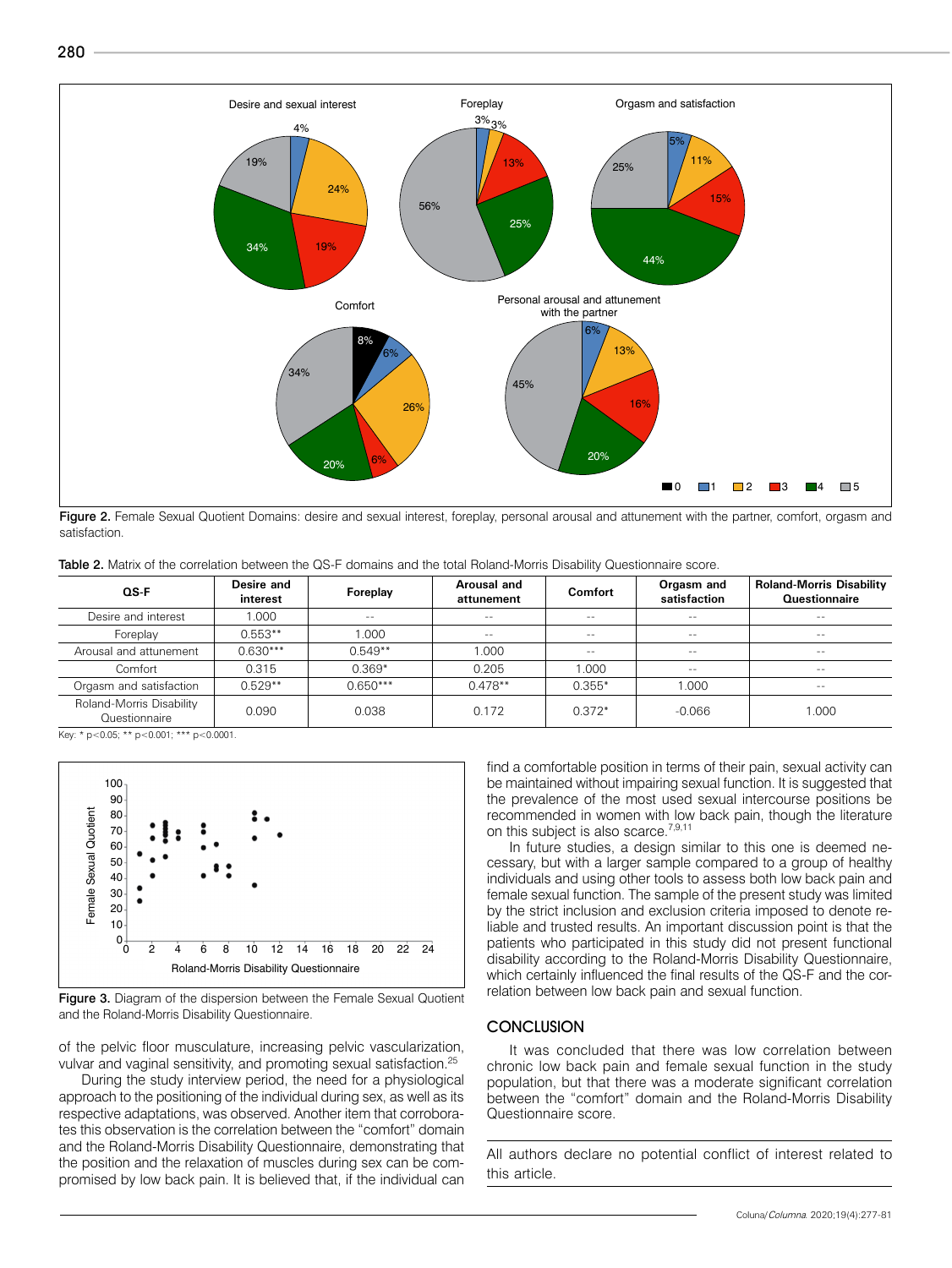280



Figure 2. Female Sexual Quotient Domains: desire and sexual interest, foreplay, personal arousal and attunement with the partner, comfort, orgasm and satisfaction.

Table 2. Matrix of the correlation between the QS-F domains and the total Roland-Morris Disability Questionnaire score.

| $OS-F$                                    | Desire and<br>interest | Foreplay   | Arousal and<br>attunement | <b>Comfort</b> | Orgasm and<br>satisfaction | <b>Roland-Morris Disability</b><br>Questionnaire |
|-------------------------------------------|------------------------|------------|---------------------------|----------------|----------------------------|--------------------------------------------------|
| Desire and interest                       | 1.000                  | $\sim$ $-$ | $\sim$ $\sim$             | $\sim$ $\sim$  | $-1$                       | $\sim$ $\sim$                                    |
| Foreplay                                  | $0.553**$              | 1.000      | $\sim$ $-$                | $- -$          | $\sim$ $-$                 | $\sim$ $-$                                       |
| Arousal and attunement                    | $0.630***$             | $0.549**$  | 1.000                     | $- -$          | $\sim$ $-$                 | $\sim$ $-$                                       |
| Comfort                                   | 0.315                  | $0.369*$   | 0.205                     | 1.000          | $- -$                      | $\sim$ $\sim$                                    |
| Orgasm and satisfaction                   | $0.529**$              | $0.650***$ | $0.478**$                 | $0.355*$       | 1.000                      | $\sim$ $-$                                       |
| Roland-Morris Disability<br>Questionnaire | 0.090                  | 0.038      | 0.172                     | $0.372*$       | $-0.066$                   | 1.000                                            |

Key: \* p<0.05; \*\* p<0.001; \*\*\* p<0.0001.



Figure 3. Diagram of the dispersion between the Female Sexual Quotient and the Roland-Morris Disability Questionnaire.

of the pelvic floor musculature, increasing pelvic vascularization, vulvar and vaginal sensitivity, and promoting sexual satisfaction.<sup>25</sup>

During the study interview period, the need for a physiological approach to the positioning of the individual during sex, as well as its respective adaptations, was observed. Another item that corroborates this observation is the correlation between the "comfort" domain and the Roland-Morris Disability Questionnaire, demonstrating that the position and the relaxation of muscles during sex can be compromised by low back pain. It is believed that, if the individual can

find a comfortable position in terms of their pain, sexual activity can be maintained without impairing sexual function. It is suggested that the prevalence of the most used sexual intercourse positions be recommended in women with low back pain, though the literature on this subject is also scarce.<sup>7,9,11</sup>

In future studies, a design similar to this one is deemed necessary, but with a larger sample compared to a group of healthy individuals and using other tools to assess both low back pain and female sexual function. The sample of the present study was limited by the strict inclusion and exclusion criteria imposed to denote reliable and trusted results. An important discussion point is that the patients who participated in this study did not present functional disability according to the Roland-Morris Disability Questionnaire, which certainly influenced the final results of the QS-F and the correlation between low back pain and sexual function.

# **CONCLUSION**

It was concluded that there was low correlation between chronic low back pain and female sexual function in the study population, but that there was a moderate significant correlation between the "comfort" domain and the Roland-Morris Disability Questionnaire score.

All authors declare no potential conflict of interest related to this article.